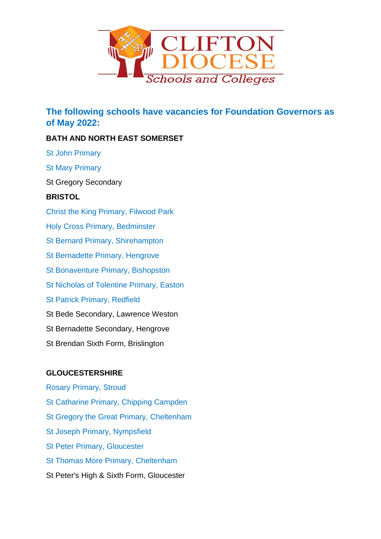

**The following schools have vacancies for Foundation Governors as of May 2022:**

## **BATH AND NORTH EAST SOMERSET**

St John Primary

St Mary Primary

St Gregory Secondary

### **BRISTOL**

Christ the King Primary, Filwood Park Holy Cross Primary, Bedminster St Bernard Primary, Shirehampton St Bernadette Primary, Hengrove St Bonaventure Primary, Bishopston St Nicholas of Tolentine Primary, Easton St Patrick Primary, Redfield St Bede Secondary, Lawrence Weston St Bernadette Secondary, Hengrove St Brendan Sixth Form, Brislington

# **GLOUCESTERSHIRE**

Rosary Primary, Stroud St Catharine Primary, Chipping Campden St Gregory the Great Primary, Cheltenham St Joseph Primary, Nympsfield St Peter Primary, Gloucester St Thomas More Primary, Cheltenham St Peter's High & Sixth Form, Gloucester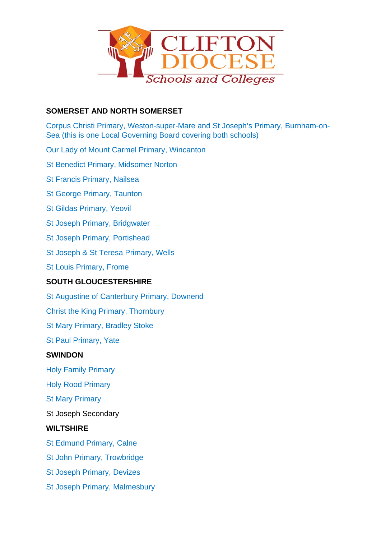

### **SOMERSET AND NORTH SOMERSET**

Corpus Christi Primary, Weston-super-Mare and St Joseph's Primary, Burnham-on-Sea (this is one Local Governing Board covering both schools)

Our Lady of Mount Carmel Primary, Wincanton

St Benedict Primary, Midsomer Norton

St Francis Primary, Nailsea

St George Primary, Taunton

St Gildas Primary, Yeovil

St Joseph Primary, Bridgwater

St Joseph Primary, Portishead

St Joseph & St Teresa Primary, Wells

St Louis Primary, Frome

### **SOUTH GLOUCESTERSHIRE**

St Augustine of Canterbury Primary, Downend Christ the King Primary, Thornbury St Mary Primary, Bradley Stoke St Paul Primary, Yate **SWINDON** Holy Family Primary

Holy Rood Primary

St Mary Primary

St Joseph Secondary

#### **WILTSHIRE**

St Edmund Primary, Calne

St John Primary, Trowbridge

St Joseph Primary, Devizes

St Joseph Primary, Malmesbury